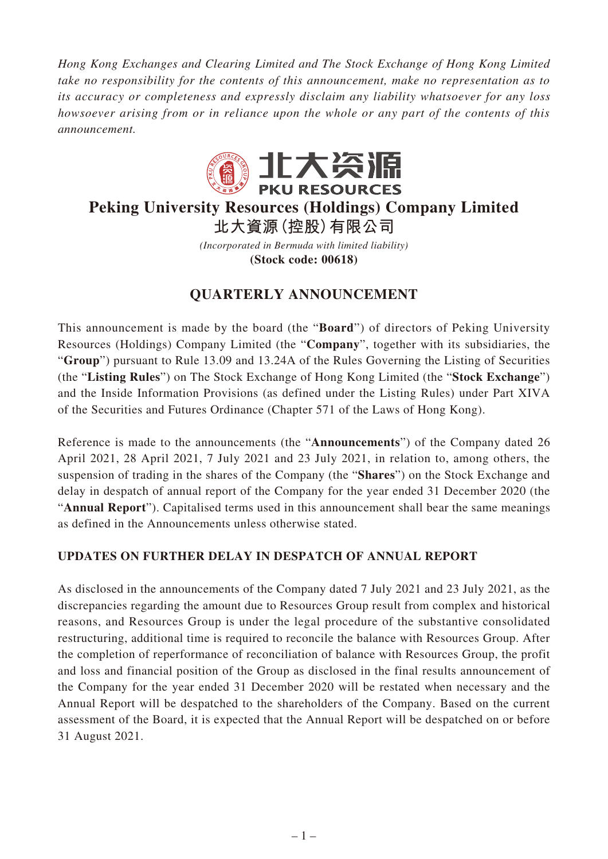*Hong Kong Exchanges and Clearing Limited and The Stock Exchange of Hong Kong Limited take no responsibility for the contents of this announcement, make no representation as to its accuracy or completeness and expressly disclaim any liability whatsoever for any loss howsoever arising from or in reliance upon the whole or any part of the contents of this announcement.*



# **Peking University Resources (Holdings) Company Limited 北大資源(控股)有限公司**

*(Incorporated in Bermuda with limited liability)* **(Stock code: 00618)**

# **QUARTERLY ANNOUNCEMENT**

This announcement is made by the board (the "**Board**") of directors of Peking University Resources (Holdings) Company Limited (the "**Company**", together with its subsidiaries, the "**Group**") pursuant to Rule 13.09 and 13.24A of the Rules Governing the Listing of Securities (the "**Listing Rules**") on The Stock Exchange of Hong Kong Limited (the "**Stock Exchange**") and the Inside Information Provisions (as defined under the Listing Rules) under Part XIVA of the Securities and Futures Ordinance (Chapter 571 of the Laws of Hong Kong).

Reference is made to the announcements (the "**Announcements**") of the Company dated 26 April 2021, 28 April 2021, 7 July 2021 and 23 July 2021, in relation to, among others, the suspension of trading in the shares of the Company (the "**Shares**") on the Stock Exchange and delay in despatch of annual report of the Company for the year ended 31 December 2020 (the "**Annual Report**"). Capitalised terms used in this announcement shall bear the same meanings as defined in the Announcements unless otherwise stated.

## **UPDATES ON FURTHER DELAY IN DESPATCH OF ANNUAL REPORT**

As disclosed in the announcements of the Company dated 7 July 2021 and 23 July 2021, as the discrepancies regarding the amount due to Resources Group result from complex and historical reasons, and Resources Group is under the legal procedure of the substantive consolidated restructuring, additional time is required to reconcile the balance with Resources Group. After the completion of reperformance of reconciliation of balance with Resources Group, the profit and loss and financial position of the Group as disclosed in the final results announcement of the Company for the year ended 31 December 2020 will be restated when necessary and the Annual Report will be despatched to the shareholders of the Company. Based on the current assessment of the Board, it is expected that the Annual Report will be despatched on or before 31 August 2021.